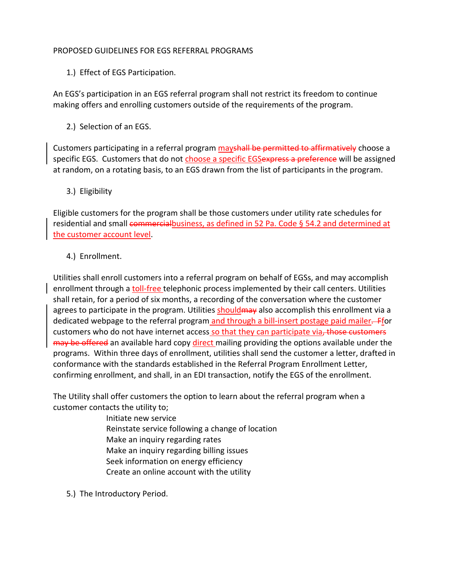### PROPOSED GUIDELINES FOR EGS REFERRAL PROGRAMS

1.) Effect of EGS Participation.

An EGS's participation in an EGS referral program shall not restrict its freedom to continue making offers and enrolling customers outside of the requirements of the program.

2.) Selection of an EGS.

Customers participating in a referral program may shall be permitted to affirmatively choose a specific EGS. Customers that do not choose a specific EGSexpress a preference will be assigned at random, on a rotating basis, to an EGS drawn from the list of participants in the program.

3.) Eligibility

Eligible customers for the program shall be those customers under utility rate schedules for residential and small commercialbusiness, as defined in 52 Pa. Code § 54.2 and determined at the customer account level.

4.) Enrollment.

Utilities shall enroll customers into a referral program on behalf of EGSs, and may accomplish enrollment through a toll-free telephonic process implemented by their call centers. Utilities shall retain, for a period of six months, a recording of the conversation where the customer agrees to participate in the program. Utilities should may also accomplish this enrollment via a dedicated webpage to the referral program and through a bill-insert postage paid mailer. Ffor customers who do not have internet access so that they can participate via, those customers may be offered an available hard copy direct mailing providing the options available under the programs. Within three days of enrollment, utilities shall send the customer a letter, drafted in conformance with the standards established in the Referral Program Enrollment Letter, confirming enrollment, and shall, in an EDI transaction, notify the EGS of the enrollment.

The Utility shall offer customers the option to learn about the referral program when a customer contacts the utility to;

Initiate new service Reinstate service following a change of location Make an inquiry regarding rates Make an inquiry regarding billing issues Seek information on energy efficiency Create an online account with the utility

5.) The Introductory Period.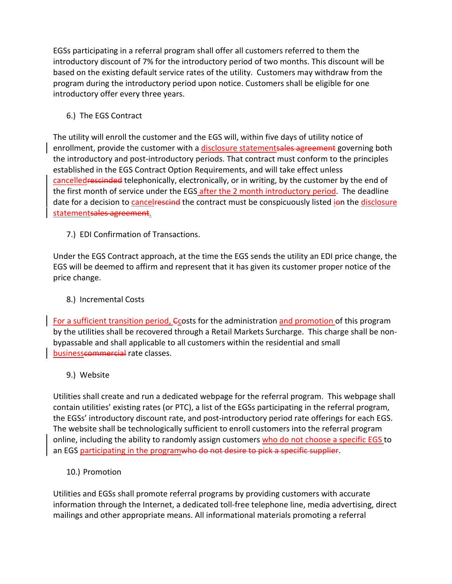EGSs participating in a referral program shall offer all customers referred to them the introductory discount of 7% for the introductory period of two months. This discount will be based on the existing default service rates of the utility. Customers may withdraw from the program during the introductory period upon notice. Customers shall be eligible for one introductory offer every three years.

# 6.) The EGS Contract

The utility will enroll the customer and the EGS will, within five days of utility notice of enrollment, provide the customer with a disclosure statementsales agreement governing both the introductory and post‐introductory periods. That contract must conform to the principles established in the EGS Contract Option Requirements, and will take effect unless cancelledrescinded telephonically, electronically, or in writing, by the customer by the end of the first month of service under the EGS after the 2 month introductory period. The deadline date for a decision to cancel rescind the contract must be conspicuously listed jon the disclosure statementsales agreement.

7.) EDI Confirmation of Transactions.

Under the EGS Contract approach, at the time the EGS sends the utility an EDI price change, the EGS will be deemed to affirm and represent that it has given its customer proper notice of the price change.

## 8.) Incremental Costs

For a sufficient transition period, Ccosts for the administration and promotion of this program by the utilities shall be recovered through a Retail Markets Surcharge. This charge shall be non‐ bypassable and shall applicable to all customers within the residential and small businesscommercial rate classes.

9.) Website

Utilities shall create and run a dedicated webpage for the referral program. This webpage shall contain utilities' existing rates (or PTC), a list of the EGSs participating in the referral program, the EGSs' introductory discount rate, and post‐introductory period rate offerings for each EGS. The website shall be technologically sufficient to enroll customers into the referral program online, including the ability to randomly assign customers who do not choose a specific EGS to an EGS participating in the programwho do not desire to pick a specific supplier.

10.) Promotion

Utilities and EGSs shall promote referral programs by providing customers with accurate information through the Internet, a dedicated toll‐free telephone line, media advertising, direct mailings and other appropriate means. All informational materials promoting a referral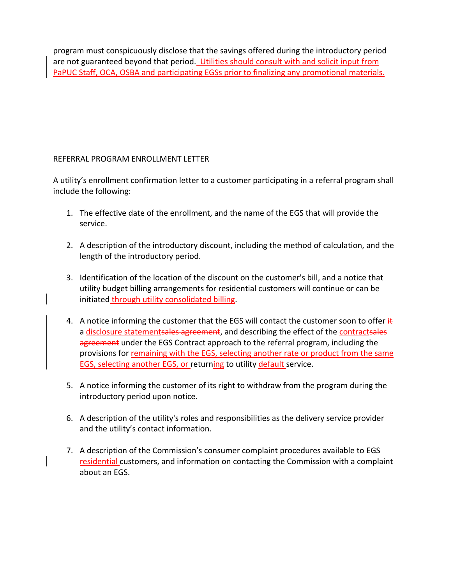program must conspicuously disclose that the savings offered during the introductory period are not guaranteed beyond that period. Utilities should consult with and solicit input from PaPUC Staff, OCA, OSBA and participating EGSs prior to finalizing any promotional materials.

## REFERRAL PROGRAM ENROLLMENT LETTER

A utility's enrollment confirmation letter to a customer participating in a referral program shall include the following:

- 1. The effective date of the enrollment, and the name of the EGS that will provide the service.
- 2. A description of the introductory discount, including the method of calculation, and the length of the introductory period.
- 3. Identification of the location of the discount on the customer's bill, and a notice that utility budget billing arrangements for residential customers will continue or can be initiated through utility consolidated billing.
- 4. A notice informing the customer that the EGS will contact the customer soon to offer  $\frac{1}{k}$ a disclosure statementsales agreement, and describing the effect of the contractsales agreement under the EGS Contract approach to the referral program, including the provisions for remaining with the EGS, selecting another rate or product from the same EGS, selecting another EGS, or returning to utility default service.
- 5. A notice informing the customer of its right to withdraw from the program during the introductory period upon notice.
- 6. A description of the utility's roles and responsibilities as the delivery service provider and the utility's contact information.
- 7. A description of the Commission's consumer complaint procedures available to EGS residential customers, and information on contacting the Commission with a complaint about an EGS.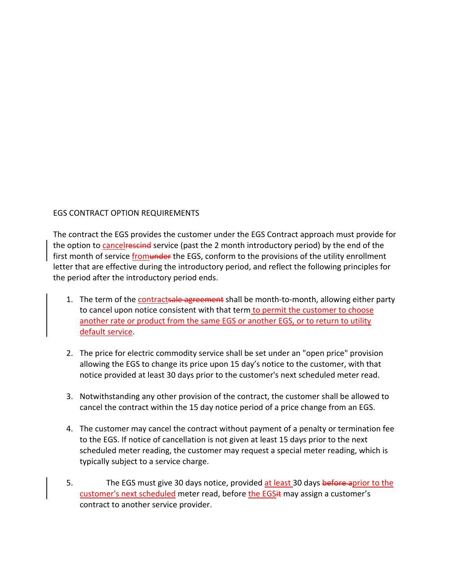### EGS CONTRACT OPTION REQUIREMENTS

The contract the EGS provides the customer under the EGS Contract approach must provide for the option to **cancelessing** service (past the 2 month introductory period) by the end of the first month of service from under the EGS, conform to the provisions of the utility enrollment letter that are effective during the introductory period, and reflect the following principles for the period after the introductory period ends.

- 1. The term of the contractsale agreement shall be month-to-month, allowing either party to cancel upon notice consistent with that term to permit the customer to choose another rate or product from the same EGS or another EGS, or to return to utility default service.
- 2. The price for electric commodity service shall be set under an "open price" provision allowing the EGS to change its price upon 15 day's notice to the customer, with that notice provided at least 30 days prior to the customer's next scheduled meter read.
- 3. Notwithstanding any other provision of the contract, the customer shall be allowed to cancel the contract within the 15 day notice period of a price change from an EGS.
- 4. The customer may cancel the contract without payment of a penalty or termination fee to the EGS. If notice of cancellation is not given at least 15 days prior to the next scheduled meter reading, the customer may request a special meter reading, which is typically subject to a service charge.
- 5. The EGS must give 30 days notice, provided at least 30 days before aprior to the customer's next scheduled meter read, before the EGS it may assign a customer's contract to another service provider.